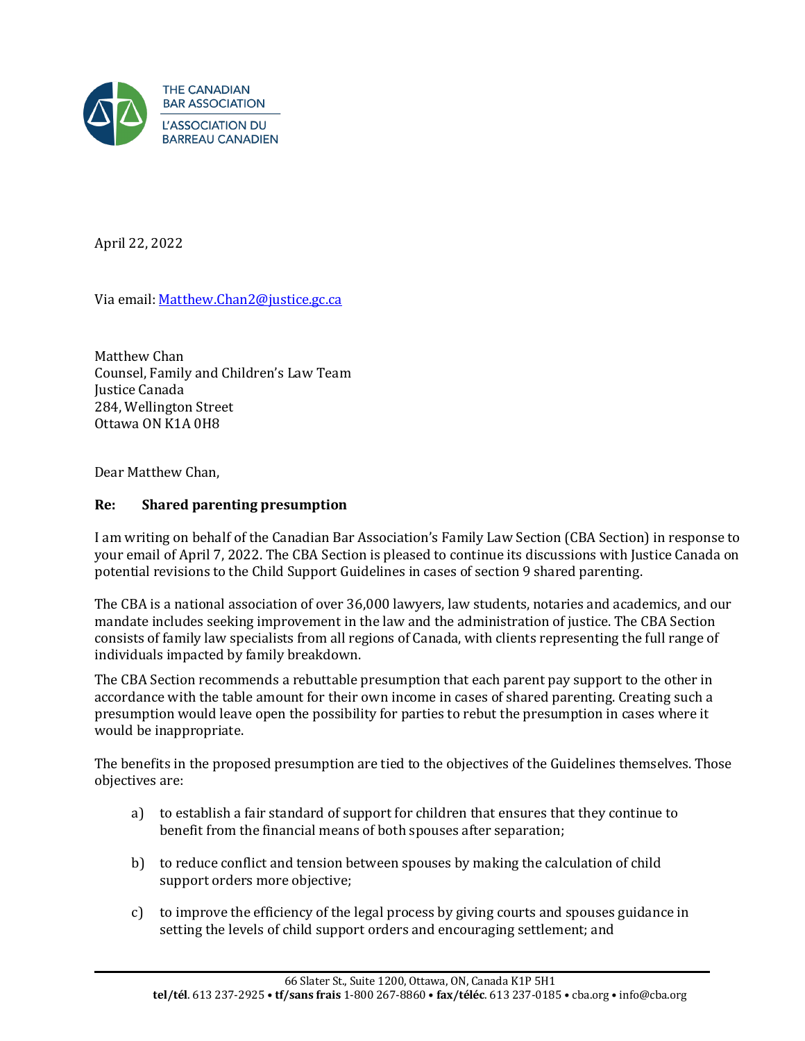

April 22, 2022

Via email: [Matthew.Chan2@justice.gc.ca](mailto:Matthew.Chan2@justice.gc.ca) 

Matthew Chan Counsel, Family and Children's Law Team Justice Canada 284, Wellington Street Ottawa ON K1A 0H8

Dear Matthew Chan,

## **Re: Shared parenting presumption**

I am writing on behalf of the Canadian Bar Association's Family Law Section (CBA Section) in response to your email of April 7, 2022. The CBA Section is pleased to continue its discussions with Justice Canada on potential revisions to the Child Support Guidelines in cases of section 9 shared parenting.

The CBA is a national association of over 36,000 lawyers, law students, notaries and academics, and our mandate includes seeking improvement in the law and the administration of justice. The CBA Section consists of family law specialists from all regions of Canada, with clients representing the full range of individuals impacted by family breakdown.

The CBA Section recommends a rebuttable presumption that each parent pay support to the other in accordance with the table amount for their own income in cases of shared parenting. Creating such a presumption would leave open the possibility for parties to rebut the presumption in cases where it would be inappropriate.

The benefits in the proposed presumption are tied to the objectives of the Guidelines themselves. Those objectives are:

- a) to establish a fair standard of support for children that ensures that they continue to benefit from the financial means of both spouses after separation;
- b) to reduce conflict and tension between spouses by making the calculation of child support orders more objective;
- c) to improve the efficiency of the legal process by giving courts and spouses guidance in setting the levels of child support orders and encouraging settlement; and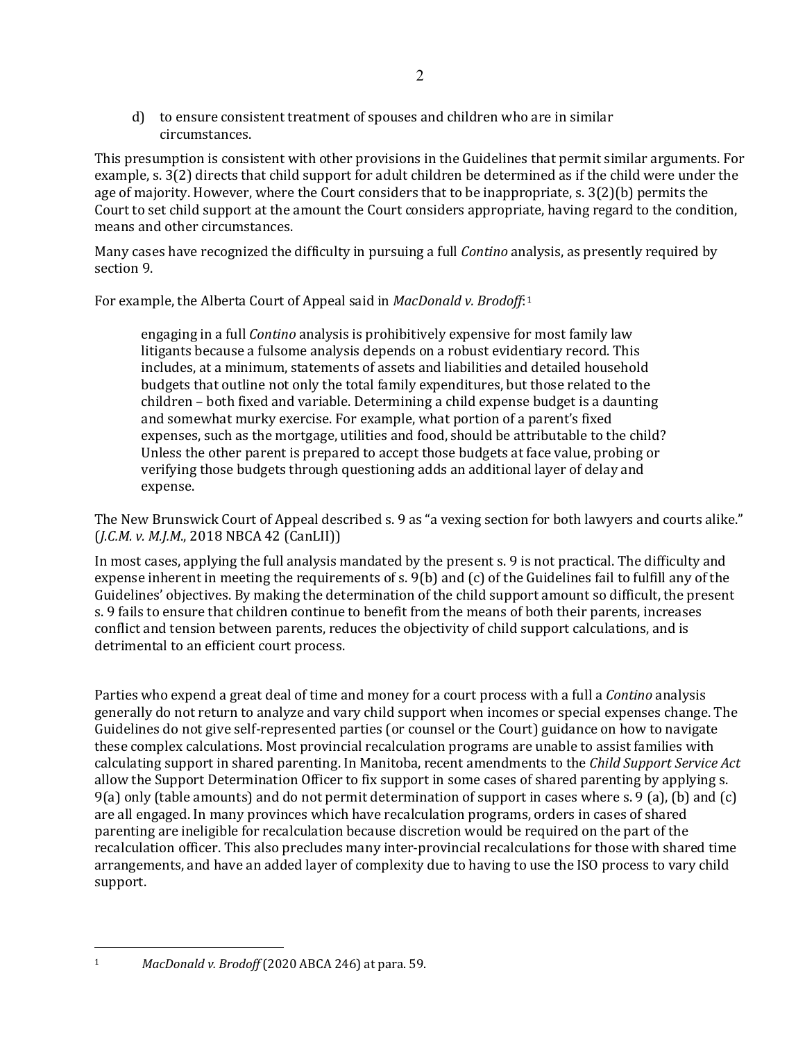d) to ensure consistent treatment of spouses and children who are in similar circumstances.

This presumption is consistent with other provisions in the Guidelines that permit similar arguments. For example, s. 3(2) directs that child support for adult children be determined as if the child were under the age of majority. However, where the Court considers that to be inappropriate, s. 3(2)(b) permits the Court to set child support at the amount the Court considers appropriate, having regard to the condition, means and other circumstances.

Many cases have recognized the difficulty in pursuing a full *Contino* analysis, as presently required by section 9.

For example, the Alberta Court of Appeal said in *MacDonald v. Brodoff*:[1](#page-1-0)

engaging in a full *Contino* analysis is prohibitively expensive for most family law litigants because a fulsome analysis depends on a robust evidentiary record. This includes, at a minimum, statements of assets and liabilities and detailed household budgets that outline not only the total family expenditures, but those related to the children – both fixed and variable. Determining a child expense budget is a daunting and somewhat murky exercise. For example, what portion of a parent's fixed expenses, such as the mortgage, utilities and food, should be attributable to the child? Unless the other parent is prepared to accept those budgets at face value, probing or verifying those budgets through questioning adds an additional layer of delay and expense.

The New Brunswick Court of Appeal described s. 9 as "a vexing section for both lawyers and courts alike." (*J.C.M. v. M.J.M*., 2018 NBCA 42 (CanLII))

In most cases, applying the full analysis mandated by the present s. 9 is not practical. The difficulty and expense inherent in meeting the requirements of s. 9(b) and (c) of the Guidelines fail to fulfill any of the Guidelines' objectives. By making the determination of the child support amount so difficult, the present s. 9 fails to ensure that children continue to benefit from the means of both their parents, increases conflict and tension between parents, reduces the objectivity of child support calculations, and is detrimental to an efficient court process.

Parties who expend a great deal of time and money for a court process with a full a *Contino* analysis generally do not return to analyze and vary child support when incomes or special expenses change. The Guidelines do not give self-represented parties (or counsel or the Court) guidance on how to navigate these complex calculations. Most provincial recalculation programs are unable to assist families with calculating support in shared parenting. In Manitoba, recent amendments to the *Child Support Service Act* allow the Support Determination Officer to fix support in some cases of shared parenting by applying s. 9(a) only (table amounts) and do not permit determination of support in cases where s. 9 (a), (b) and (c) are all engaged. In many provinces which have recalculation programs, orders in cases of shared parenting are ineligible for recalculation because discretion would be required on the part of the recalculation officer. This also precludes many inter-provincial recalculations for those with shared time arrangements, and have an added layer of complexity due to having to use the ISO process to vary child support.

<span id="page-1-0"></span><sup>1</sup> *MacDonald v. Brodoff* (2020 ABCA 246) at para. 59.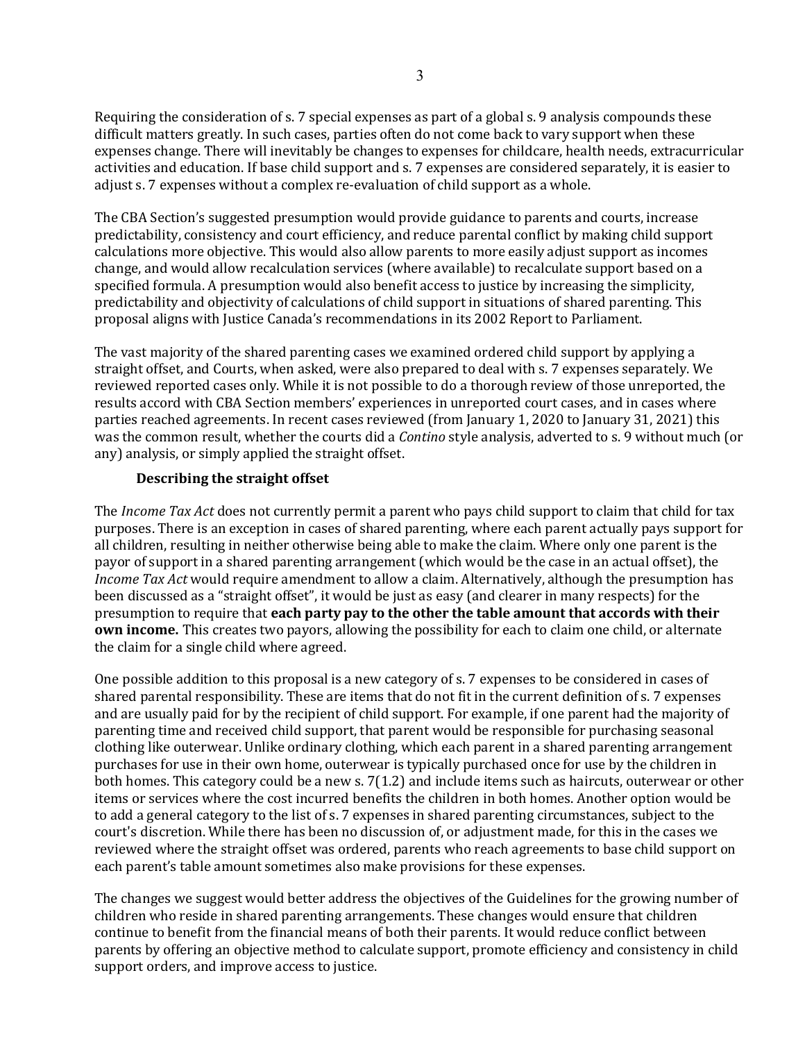Requiring the consideration of s. 7 special expenses as part of a global s. 9 analysis compounds these difficult matters greatly. In such cases, parties often do not come back to vary support when these expenses change. There will inevitably be changes to expenses for childcare, health needs, extracurricular activities and education. If base child support and s. 7 expenses are considered separately, it is easier to adjust s. 7 expenses without a complex re-evaluation of child support as a whole.

The CBA Section's suggested presumption would provide guidance to parents and courts, increase predictability, consistency and court efficiency, and reduce parental conflict by making child support calculations more objective. This would also allow parents to more easily adjust support as incomes change, and would allow recalculation services (where available) to recalculate support based on a specified formula. A presumption would also benefit access to justice by increasing the simplicity, predictability and objectivity of calculations of child support in situations of shared parenting. This proposal aligns with Justice Canada's recommendations in its 2002 Report to Parliament.

The vast majority of the shared parenting cases we examined ordered child support by applying a straight offset, and Courts, when asked, were also prepared to deal with s. 7 expenses separately. We reviewed reported cases only. While it is not possible to do a thorough review of those unreported, the results accord with CBA Section members' experiences in unreported court cases, and in cases where parties reached agreements. In recent cases reviewed (from January 1, 2020 to January 31, 2021) this was the common result, whether the courts did a *Contino* style analysis, adverted to s. 9 without much (or any) analysis, or simply applied the straight offset.

## **Describing the straight offset**

The *Income Tax Act* does not currently permit a parent who pays child support to claim that child for tax purposes. There is an exception in cases of shared parenting, where each parent actually pays support for all children, resulting in neither otherwise being able to make the claim. Where only one parent is the payor of support in a shared parenting arrangement (which would be the case in an actual offset), the *Income Tax Act* would require amendment to allow a claim. Alternatively, although the presumption has been discussed as a "straight offset", it would be just as easy (and clearer in many respects) for the presumption to require that **each party pay to the other the table amount that accords with their own income.** This creates two payors, allowing the possibility for each to claim one child, or alternate the claim for a single child where agreed.

One possible addition to this proposal is a new category of s. 7 expenses to be considered in cases of shared parental responsibility. These are items that do not fit in the current definition of s. 7 expenses and are usually paid for by the recipient of child support. For example, if one parent had the majority of parenting time and received child support, that parent would be responsible for purchasing seasonal clothing like outerwear. Unlike ordinary clothing, which each parent in a shared parenting arrangement purchases for use in their own home, outerwear is typically purchased once for use by the children in both homes. This category could be a new s. 7(1.2) and include items such as haircuts, outerwear or other items or services where the cost incurred benefits the children in both homes. Another option would be to add a general category to the list of s. 7 expenses in shared parenting circumstances, subject to the court's discretion. While there has been no discussion of, or adjustment made, for this in the cases we reviewed where the straight offset was ordered, parents who reach agreements to base child support on each parent's table amount sometimes also make provisions for these expenses.

The changes we suggest would better address the objectives of the Guidelines for the growing number of children who reside in shared parenting arrangements. These changes would ensure that children continue to benefit from the financial means of both their parents. It would reduce conflict between parents by offering an objective method to calculate support, promote efficiency and consistency in child support orders, and improve access to justice.